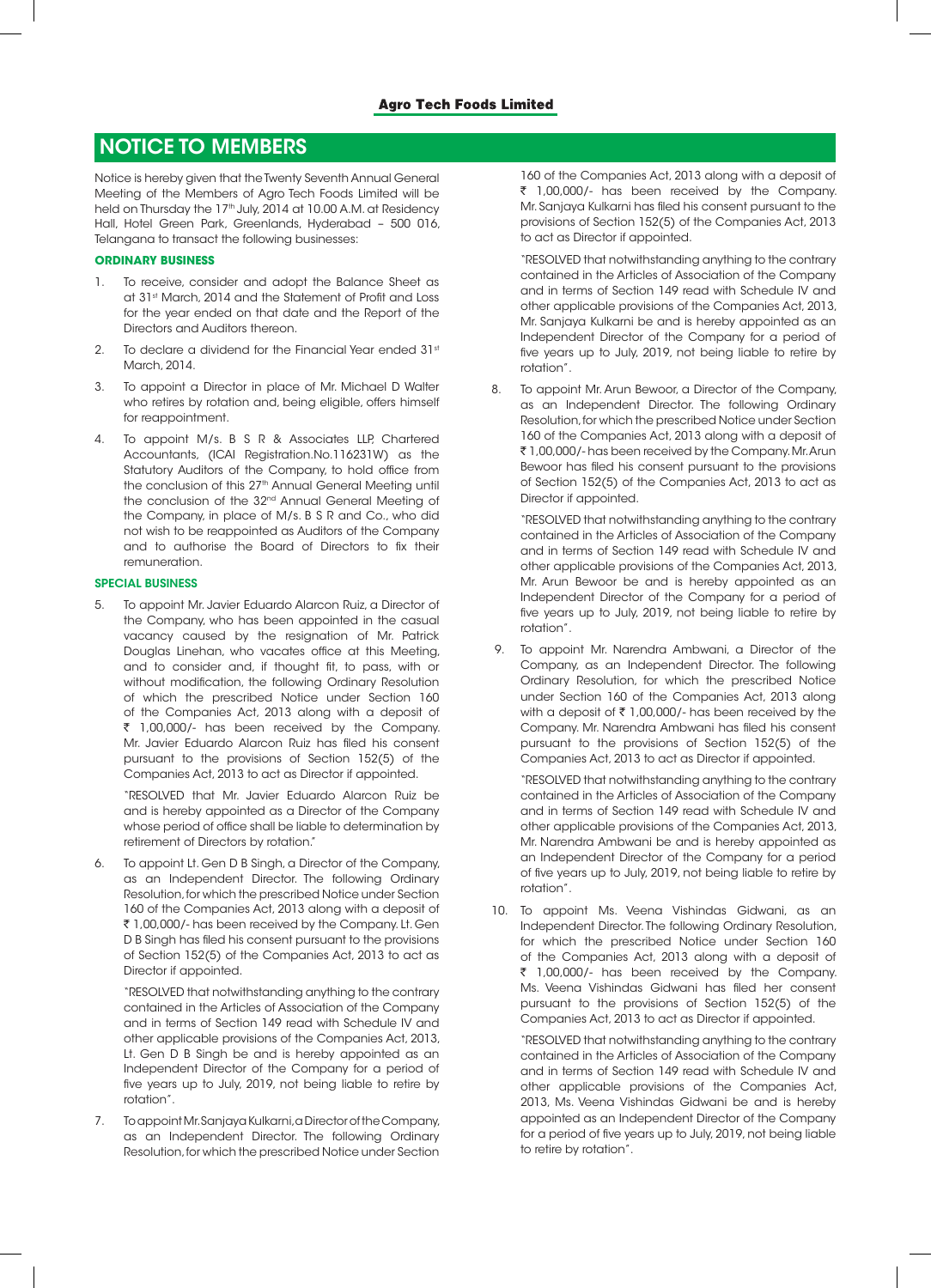# NOTICE TO MEMBERS

Notice is hereby given that the Twenty Seventh Annual General Meeting of the Members of Agro Tech Foods Limited will be held on Thursday the 17<sup>th</sup> July, 2014 at 10.00 A.M. at Residency Hall, Hotel Green Park, Greenlands, Hyderabad – 500 016, Telangana to transact the following businesses:

## **ORDINARY BUSINESS**

- To receive, consider and adopt the Balance Sheet as at 31st March, 2014 and the Statement of Profit and Loss for the year ended on that date and the Report of the Directors and Auditors thereon.
- 2. To declare a dividend for the Financial Year ended 31st March, 2014
- 3. To appoint a Director in place of Mr. Michael D Walter who retires by rotation and, being eligible, offers himself for reappointment.
- 4. To appoint M/s. B S R & Associates LLP, Chartered Accountants, (ICAI Registration.No.116231W) as the Statutory Auditors of the Company, to hold office from the conclusion of this 27<sup>th</sup> Annual General Meeting until the conclusion of the 32<sup>nd</sup> Annual General Meeting of the Company, in place of M/s. B S R and Co., who did not wish to be reappointed as Auditors of the Company and to authorise the Board of Directors to fix their remuneration.

## SPECIAL BUSINESS

5. To appoint Mr. Javier Eduardo Alarcon Ruiz, a Director of the Company, who has been appointed in the casual vacancy caused by the resignation of Mr. Patrick Douglas Linehan, who vacates office at this Meeting, and to consider and, if thought fit, to pass, with or without modification, the following Ordinary Resolution of which the prescribed Notice under Section 160 of the Companies Act, 2013 along with a deposit of ` 1,00,000/- has been received by the Company. Mr. Javier Eduardo Alarcon Ruiz has filed his consent pursuant to the provisions of Section 152(5) of the Companies Act, 2013 to act as Director if appointed.

"RESOLVED that Mr. Javier Eduardo Alarcon Ruiz be and is hereby appointed as a Director of the Company whose period of office shall be liable to determination by retirement of Directors by rotation."

6. To appoint Lt. Gen D B Singh, a Director of the Company, as an Independent Director. The following Ordinary Resolution, for which the prescribed Notice under Section 160 of the Companies Act, 2013 along with a deposit of ₹ 1,00,000/- has been received by the Company. Lt. Gen D B Singh has filed his consent pursuant to the provisions of Section 152(5) of the Companies Act, 2013 to act as Director if appointed.

"RESOLVED that notwithstanding anything to the contrary contained in the Articles of Association of the Company and in terms of Section 149 read with Schedule IV and other applicable provisions of the Companies Act, 2013, Lt. Gen D B Singh be and is hereby appointed as an Independent Director of the Company for a period of five years up to July, 2019, not being liable to retire by rotation".

7. To appoint Mr. Sanjaya Kulkarni, a Director of the Company, as an Independent Director. The following Ordinary Resolution, for which the prescribed Notice under Section

160 of the Companies Act, 2013 along with a deposit of ` 1,00,000/- has been received by the Company. Mr. Sanjaya Kulkarni has filed his consent pursuant to the provisions of Section 152(5) of the Companies Act, 2013 to act as Director if appointed.

"RESOLVED that notwithstanding anything to the contrary contained in the Articles of Association of the Company and in terms of Section 149 read with Schedule IV and other applicable provisions of the Companies Act, 2013, Mr. Sanjaya Kulkarni be and is hereby appointed as an Independent Director of the Company for a period of five years up to July, 2019, not being liable to retire by rotation".

8. To appoint Mr. Arun Bewoor, a Director of the Company, as an Independent Director. The following Ordinary Resolution, for which the prescribed Notice under Section 160 of the Companies Act, 2013 along with a deposit of ` 1,00,000/- has been received by the Company. Mr. Arun Bewoor has filed his consent pursuant to the provisions of Section 152(5) of the Companies Act, 2013 to act as Director if appointed.

"RESOLVED that notwithstanding anything to the contrary contained in the Articles of Association of the Company and in terms of Section 149 read with Schedule IV and other applicable provisions of the Companies Act, 2013, Mr. Arun Bewoor be and is hereby appointed as an Independent Director of the Company for a period of five years up to July, 2019, not being liable to retire by rotation".

 9. To appoint Mr. Narendra Ambwani, a Director of the Company, as an Independent Director. The following Ordinary Resolution, for which the prescribed Notice under Section 160 of the Companies Act, 2013 along with a deposit of  $\bar{\tau}$  1,00,000/- has been received by the Company. Mr. Narendra Ambwani has filed his consent pursuant to the provisions of Section 152(5) of the Companies Act, 2013 to act as Director if appointed.

"RESOLVED that notwithstanding anything to the contrary contained in the Articles of Association of the Company and in terms of Section 149 read with Schedule IV and other applicable provisions of the Companies Act, 2013, Mr. Narendra Ambwani be and is hereby appointed as an Independent Director of the Company for a period of five years up to July, 2019, not being liable to retire by rotation".

10. To appoint Ms. Veena Vishindas Gidwani, as an Independent Director. The following Ordinary Resolution, for which the prescribed Notice under Section 160 of the Companies Act, 2013 along with a deposit of ` 1,00,000/- has been received by the Company. Ms. Veena Vishindas Gidwani has filed her consent pursuant to the provisions of Section 152(5) of the Companies Act, 2013 to act as Director if appointed.

"RESOLVED that notwithstanding anything to the contrary contained in the Articles of Association of the Company and in terms of Section 149 read with Schedule IV and other applicable provisions of the Companies Act, 2013, Ms. Veena Vishindas Gidwani be and is hereby appointed as an Independent Director of the Company for a period of five years up to July, 2019, not being liable to retire by rotation".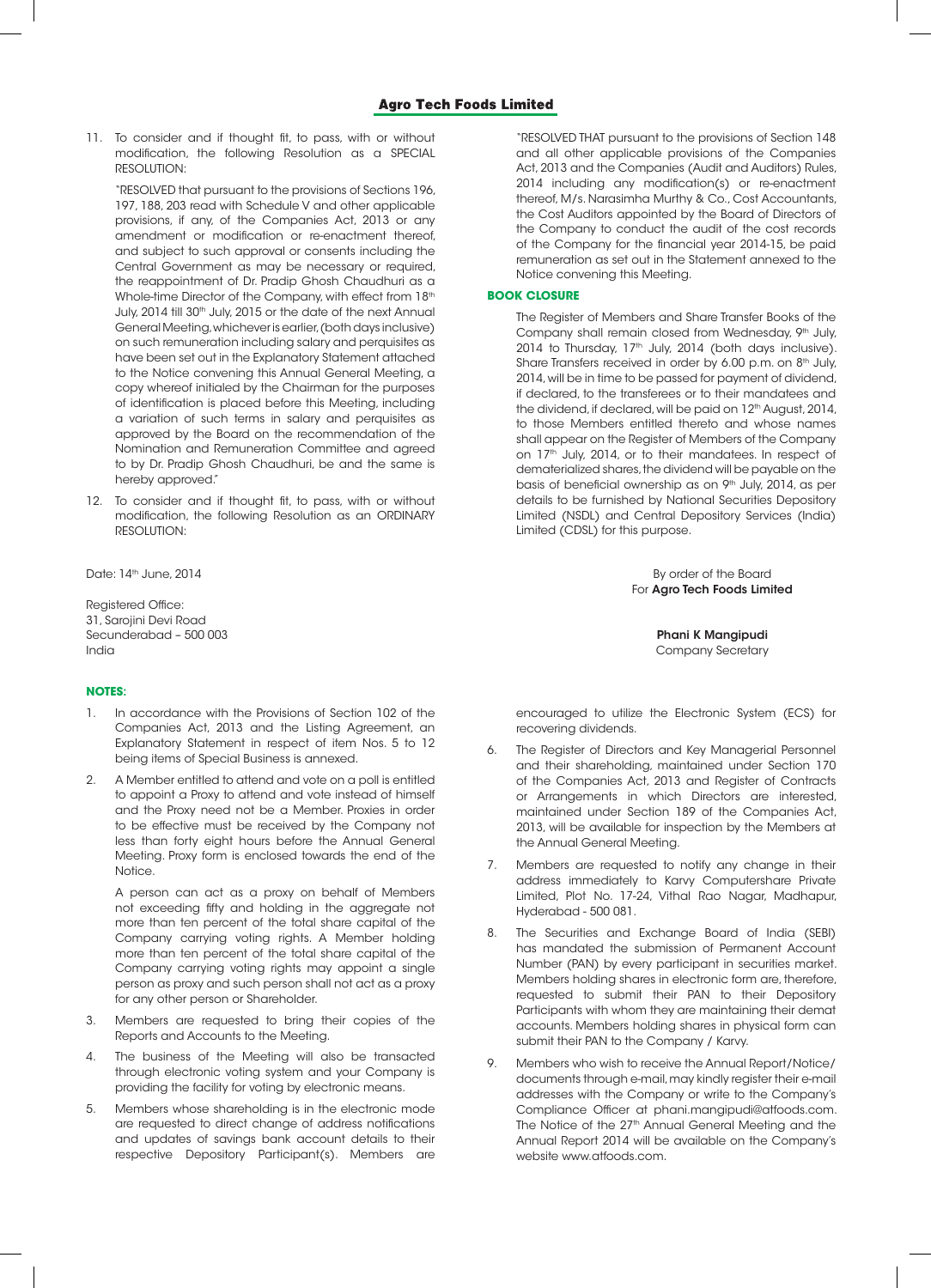11. To consider and if thought fit, to pass, with or without modification, the following Resolution as a SPECIAL RESOLUTION:

"RESOLVED that pursuant to the provisions of Sections 196, 197, 188, 203 read with Schedule V and other applicable provisions, if any, of the Companies Act, 2013 or any amendment or modification or re-enactment thereof, and subject to such approval or consents including the Central Government as may be necessary or required, the reappointment of Dr. Pradip Ghosh Chaudhuri as a Whole-time Director of the Company, with effect from 18<sup>th</sup> July, 2014 till 30<sup>th</sup> July, 2015 or the date of the next Annual General Meeting, whichever is earlier, (both days inclusive) on such remuneration including salary and perquisites as have been set out in the Explanatory Statement attached to the Notice convening this Annual General Meeting, a copy whereof initialed by the Chairman for the purposes of identification is placed before this Meeting, including a variation of such terms in salary and perquisites as approved by the Board on the recommendation of the Nomination and Remuneration Committee and agreed to by Dr. Pradip Ghosh Chaudhuri, be and the same is hereby approved."

12. To consider and if thought fit, to pass, with or without modification, the following Resolution as an ORDINARY RESOLUTION:

Registered Office: 31, Sarojini Devi Road Secunderabad – 500 003 Phani K Mangipudi India Company Secretary

## **NOTES**:

- In accordance with the Provisions of Section 102 of the Companies Act, 2013 and the Listing Agreement, an Explanatory Statement in respect of item Nos. 5 to 12 being items of Special Business is annexed.
- 2. A Member entitled to attend and vote on a poll is entitled to appoint a Proxy to attend and vote instead of himself and the Proxy need not be a Member. Proxies in order to be effective must be received by the Company not less than forty eight hours before the Annual General Meeting. Proxy form is enclosed towards the end of the Notice.

A person can act as a proxy on behalf of Members not exceeding fifty and holding in the aggregate not more than ten percent of the total share capital of the Company carrying voting rights. A Member holding more than ten percent of the total share capital of the Company carrying voting rights may appoint a single person as proxy and such person shall not act as a proxy for any other person or Shareholder.

- 3. Members are requested to bring their copies of the Reports and Accounts to the Meeting.
- 4. The business of the Meeting will also be transacted through electronic voting system and your Company is providing the facility for voting by electronic means.
- 5. Members whose shareholding is in the electronic mode are requested to direct change of address notifications and updates of savings bank account details to their respective Depository Participant(s). Members are

"RESOLVED THAT pursuant to the provisions of Section 148 and all other applicable provisions of the Companies Act, 2013 and the Companies (Audit and Auditors) Rules, 2014 including any modification(s) or re-enactment thereof, M/s. Narasimha Murthy & Co., Cost Accountants, the Cost Auditors appointed by the Board of Directors of the Company to conduct the audit of the cost records of the Company for the financial year 2014-15, be paid remuneration as set out in the Statement annexed to the Notice convening this Meeting.

## **BOOK CLOSURE**

The Register of Members and Share Transfer Books of the Company shall remain closed from Wednesday, 9<sup>th</sup> July, 2014 to Thursday, 17<sup>th</sup> July, 2014 (both days inclusive). Share Transfers received in order by 6.00 p.m. on 8<sup>th</sup> July, 2014, will be in time to be passed for payment of dividend, if declared, to the transferees or to their mandatees and the dividend, if declared, will be paid on 12<sup>th</sup> August, 2014, to those Members entitled thereto and whose names shall appear on the Register of Members of the Company on 17<sup>th</sup> July, 2014, or to their mandatees. In respect of dematerialized shares, the dividend will be payable on the basis of beneficial ownership as on 9<sup>th</sup> July, 2014, as per details to be furnished by National Securities Depository Limited (NSDL) and Central Depository Services (India) Limited (CDSL) for this purpose.

Date: 14th June, 2014 By order of the Board For Agro Tech Foods Limited

encouraged to utilize the Electronic System (ECS) for recovering dividends.

- 6. The Register of Directors and Key Managerial Personnel and their shareholding, maintained under Section 170 of the Companies Act, 2013 and Register of Contracts or Arrangements in which Directors are interested, maintained under Section 189 of the Companies Act, 2013, will be available for inspection by the Members at the Annual General Meeting.
- 7. Members are requested to notify any change in their address immediately to Karvy Computershare Private Limited, Plot No. 17-24, Vithal Rao Nagar, Madhapur, Hyderabad - 500 081.
- 8. The Securities and Exchange Board of India (SEBI) has mandated the submission of Permanent Account Number (PAN) by every participant in securities market. Members holding shares in electronic form are, therefore, requested to submit their PAN to their Depository Participants with whom they are maintaining their demat accounts. Members holding shares in physical form can submit their PAN to the Company / Karvy.
- 9. Members who wish to receive the Annual Report/Notice/ documents through e-mail, may kindly register their e-mail addresses with the Company or write to the Company's Compliance Officer at phani.mangipudi@atfoods.com. The Notice of the 27<sup>th</sup> Annual General Meeting and the Annual Report 2014 will be available on the Company's website www.atfoods.com.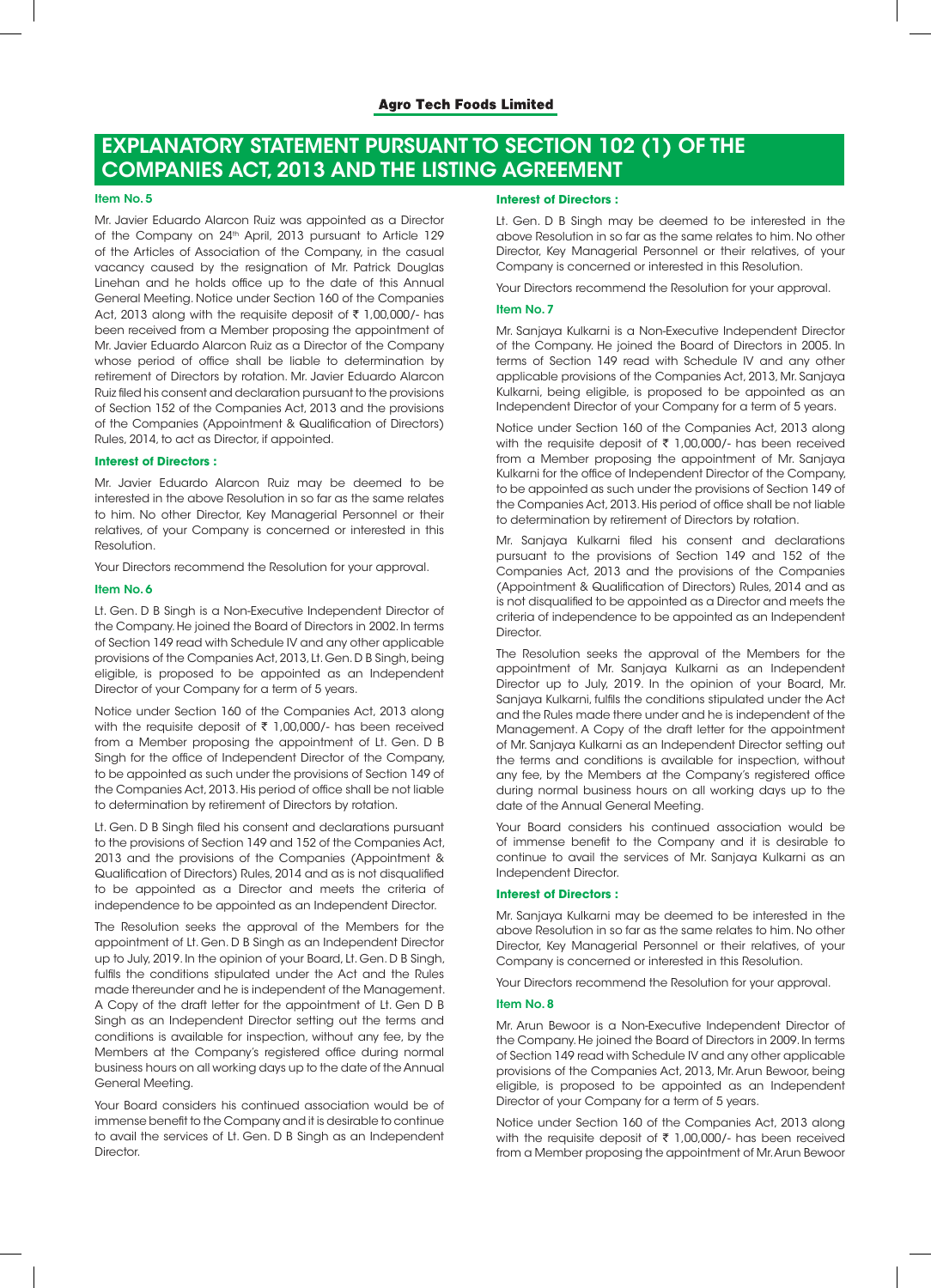# EXPLANATORY STATEMENT PURSUANT TO SECTION 102 (1) OF THE COMPANIES ACT, 2013 AND THE LISTING AGREEMENT

#### Item No. 5

Mr. Javier Eduardo Alarcon Ruiz was appointed as a Director of the Company on 24<sup>th</sup> April, 2013 pursuant to Article 129 of the Articles of Association of the Company, in the casual vacancy caused by the resignation of Mr. Patrick Douglas Linehan and he holds office up to the date of this Annual General Meeting. Notice under Section 160 of the Companies Act, 2013 along with the requisite deposit of  $\bar{\tau}$  1,00,000/- has been received from a Member proposing the appointment of Mr. Javier Eduardo Alarcon Ruiz as a Director of the Company whose period of office shall be liable to determination by retirement of Directors by rotation. Mr. Javier Eduardo Alarcon Ruiz filed his consent and declaration pursuant to the provisions of Section 152 of the Companies Act, 2013 and the provisions of the Companies (Appointment & Qualification of Directors) Rules, 2014, to act as Director, if appointed.

### **Interest of Directors :**

Mr. Javier Eduardo Alarcon Ruiz may be deemed to be interested in the above Resolution in so far as the same relates to him. No other Director, Key Managerial Personnel or their relatives, of your Company is concerned or interested in this Resolution.

Your Directors recommend the Resolution for your approval.

#### Item No. 6

Lt. Gen. D B Singh is a Non-Executive Independent Director of the Company. He joined the Board of Directors in 2002. In terms of Section 149 read with Schedule IV and any other applicable provisions of the Companies Act, 2013, Lt. Gen. D B Singh, being eligible, is proposed to be appointed as an Independent Director of your Company for a term of 5 years.

Notice under Section 160 of the Companies Act, 2013 along with the requisite deposit of  $\bar{\tau}$  1,00,000/- has been received from a Member proposing the appointment of Lt. Gen. D B Singh for the office of Independent Director of the Company, to be appointed as such under the provisions of Section 149 of the Companies Act, 2013. His period of office shall be not liable to determination by retirement of Directors by rotation.

Lt. Gen. D B Singh filed his consent and declarations pursuant to the provisions of Section 149 and 152 of the Companies Act, 2013 and the provisions of the Companies (Appointment & Qualification of Directors) Rules, 2014 and as is not disqualified to be appointed as a Director and meets the criteria of independence to be appointed as an Independent Director.

The Resolution seeks the approval of the Members for the appointment of Lt. Gen. D B Singh as an Independent Director up to July, 2019. In the opinion of your Board, Lt. Gen. D B Singh, fulfils the conditions stipulated under the Act and the Rules made thereunder and he is independent of the Management. A Copy of the draft letter for the appointment of Lt. Gen D B Singh as an Independent Director setting out the terms and conditions is available for inspection, without any fee, by the Members at the Company's registered office during normal business hours on all working days up to the date of the Annual General Meeting.

Your Board considers his continued association would be of immense benefit to the Company and it is desirable to continue to avail the services of Lt. Gen. D B Singh as an Independent Director.

## **Interest of Directors :**

Lt. Gen. D B Singh may be deemed to be interested in the above Resolution in so far as the same relates to him. No other Director, Key Managerial Personnel or their relatives, of your Company is concerned or interested in this Resolution.

Your Directors recommend the Resolution for your approval.

#### Item No. 7

Mr. Sanjaya Kulkarni is a Non-Executive Independent Director of the Company. He joined the Board of Directors in 2005. In terms of Section 149 read with Schedule IV and any other applicable provisions of the Companies Act, 2013, Mr. Sanjaya Kulkarni, being eligible, is proposed to be appointed as an Independent Director of your Company for a term of 5 years.

Notice under Section 160 of the Companies Act, 2013 along with the requisite deposit of  $\bar{\tau}$  1,00,000/- has been received from a Member proposing the appointment of Mr. Sanjaya Kulkarni for the office of Independent Director of the Company, to be appointed as such under the provisions of Section 149 of the Companies Act, 2013. His period of office shall be not liable to determination by retirement of Directors by rotation.

Mr. Sanjaya Kulkarni filed his consent and declarations pursuant to the provisions of Section 149 and 152 of the Companies Act, 2013 and the provisions of the Companies (Appointment & Qualification of Directors) Rules, 2014 and as is not disqualified to be appointed as a Director and meets the criteria of independence to be appointed as an Independent Director.

The Resolution seeks the approval of the Members for the appointment of Mr. Sanjaya Kulkarni as an Independent Director up to July, 2019. In the opinion of your Board, Mr. Sanjaya Kulkarni, fulfils the conditions stipulated under the Act and the Rules made there under and he is independent of the Management. A Copy of the draft letter for the appointment of Mr. Sanjaya Kulkarni as an Independent Director setting out the terms and conditions is available for inspection, without any fee, by the Members at the Company's registered office during normal business hours on all working days up to the date of the Annual General Meeting.

Your Board considers his continued association would be of immense benefit to the Company and it is desirable to continue to avail the services of Mr. Sanjaya Kulkarni as an Independent Director.

#### **Interest of Directors :**

Mr. Sanjaya Kulkarni may be deemed to be interested in the above Resolution in so far as the same relates to him. No other Director, Key Managerial Personnel or their relatives, of your Company is concerned or interested in this Resolution.

Your Directors recommend the Resolution for your approval.

#### Item No. 8

Mr. Arun Bewoor is a Non-Executive Independent Director of the Company. He joined the Board of Directors in 2009. In terms of Section 149 read with Schedule IV and any other applicable provisions of the Companies Act, 2013, Mr. Arun Bewoor, being eligible, is proposed to be appointed as an Independent Director of your Company for a term of 5 years.

Notice under Section 160 of the Companies Act, 2013 along with the requisite deposit of  $\bar{\tau}$  1,00,000/- has been received from a Member proposing the appointment of Mr. Arun Bewoor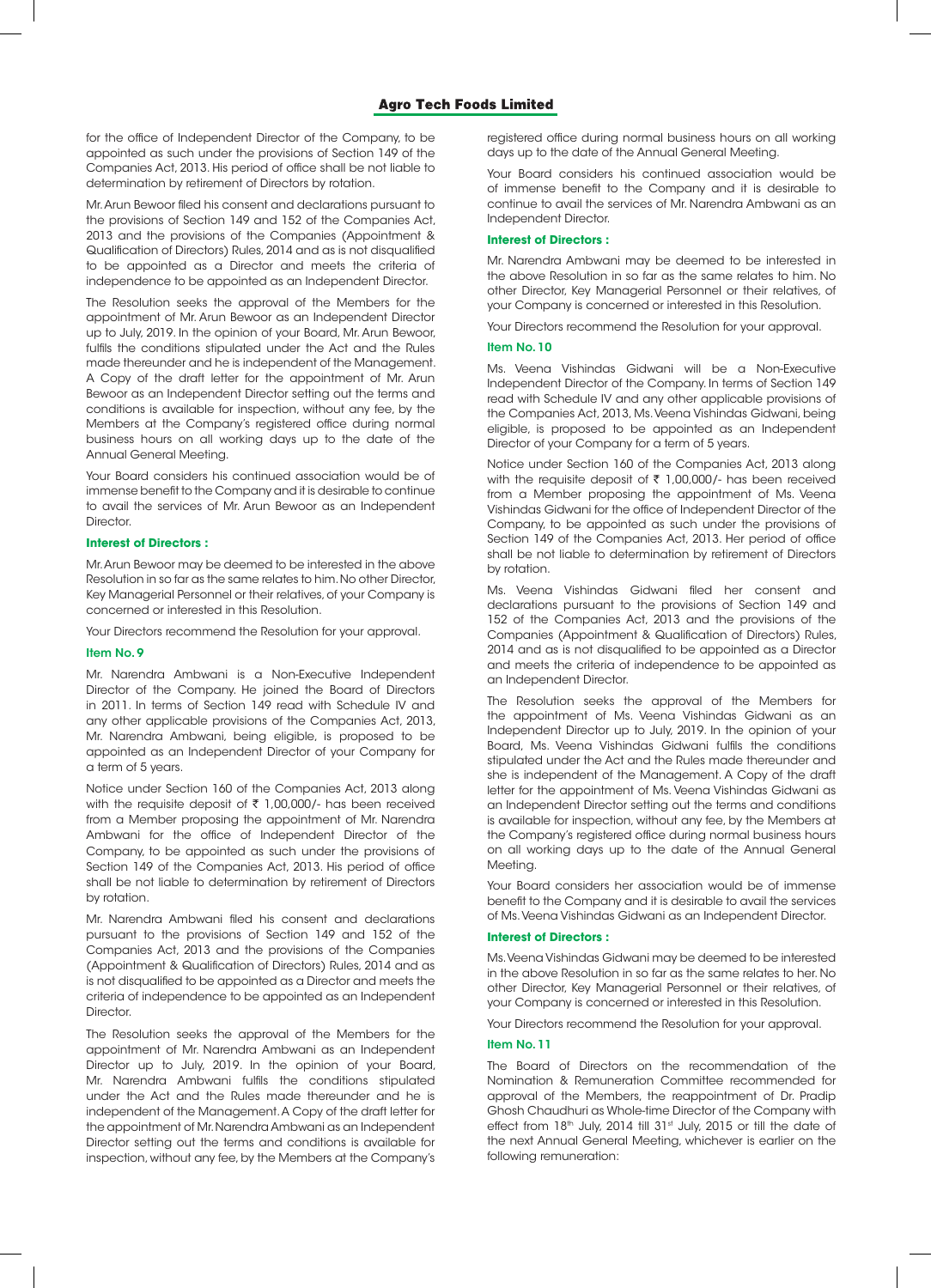for the office of Independent Director of the Company, to be appointed as such under the provisions of Section 149 of the Companies Act, 2013. His period of office shall be not liable to determination by retirement of Directors by rotation.

Mr. Arun Bewoor filed his consent and declarations pursuant to the provisions of Section 149 and 152 of the Companies Act, 2013 and the provisions of the Companies (Appointment & Qualification of Directors) Rules, 2014 and as is not disqualified to be appointed as a Director and meets the criteria of independence to be appointed as an Independent Director.

The Resolution seeks the approval of the Members for the appointment of Mr. Arun Bewoor as an Independent Director up to July, 2019. In the opinion of your Board, Mr. Arun Bewoor, fulfils the conditions stipulated under the Act and the Rules made thereunder and he is independent of the Management. A Copy of the draft letter for the appointment of Mr. Arun Bewoor as an Independent Director setting out the terms and conditions is available for inspection, without any fee, by the Members at the Company's registered office during normal business hours on all working days up to the date of the Annual General Meeting.

Your Board considers his continued association would be of immense benefit to the Company and it is desirable to continue to avail the services of Mr. Arun Bewoor as an Independent **Director** 

#### **Interest of Directors :**

Mr. Arun Bewoor may be deemed to be interested in the above Resolution in so far as the same relates to him. No other Director, Key Managerial Personnel or their relatives, of your Company is concerned or interested in this Resolution.

Your Directors recommend the Resolution for your approval.

#### Item No. 9

Mr. Narendra Ambwani is a Non-Executive Independent Director of the Company. He joined the Board of Directors in 2011. In terms of Section 149 read with Schedule IV and any other applicable provisions of the Companies Act, 2013, Mr. Narendra Ambwani, being eligible, is proposed to be appointed as an Independent Director of your Company for a term of 5 years.

Notice under Section 160 of the Companies Act, 2013 along with the requisite deposit of  $\bar{\tau}$  1,00,000/- has been received from a Member proposing the appointment of Mr. Narendra Ambwani for the office of Independent Director of the Company, to be appointed as such under the provisions of Section 149 of the Companies Act, 2013. His period of office shall be not liable to determination by retirement of Directors by rotation.

Mr. Narendra Ambwani filed his consent and declarations pursuant to the provisions of Section 149 and 152 of the Companies Act, 2013 and the provisions of the Companies (Appointment & Qualification of Directors) Rules, 2014 and as is not disqualified to be appointed as a Director and meets the criteria of independence to be appointed as an Independent **Director** 

The Resolution seeks the approval of the Members for the appointment of Mr. Narendra Ambwani as an Independent Director up to July, 2019. In the opinion of your Board, Mr. Narendra Ambwani fulfils the conditions stipulated under the Act and the Rules made thereunder and he is independent of the Management. A Copy of the draft letter for the appointment of Mr. Narendra Ambwani as an Independent Director setting out the terms and conditions is available for inspection, without any fee, by the Members at the Company's

registered office during normal business hours on all working days up to the date of the Annual General Meeting.

Your Board considers his continued association would be of immense benefit to the Company and it is desirable to continue to avail the services of Mr. Narendra Ambwani as an Independent Director.

## **Interest of Directors :**

Mr. Narendra Ambwani may be deemed to be interested in the above Resolution in so far as the same relates to him. No other Director, Key Managerial Personnel or their relatives, of your Company is concerned or interested in this Resolution.

Your Directors recommend the Resolution for your approval.

#### Item No. 10

Ms. Veena Vishindas Gidwani will be a Non-Executive Independent Director of the Company. In terms of Section 149 read with Schedule IV and any other applicable provisions of the Companies Act, 2013, Ms. Veena Vishindas Gidwani, being eligible, is proposed to be appointed as an Independent Director of your Company for a term of 5 years.

Notice under Section 160 of the Companies Act, 2013 along with the requisite deposit of  $\bar{\tau}$  1,00,000/- has been received from a Member proposing the appointment of Ms. Veena Vishindas Gidwani for the office of Independent Director of the Company, to be appointed as such under the provisions of Section 149 of the Companies Act, 2013. Her period of office shall be not liable to determination by retirement of Directors by rotation.

Ms. Veena Vishindas Gidwani filed her consent and declarations pursuant to the provisions of Section 149 and 152 of the Companies Act, 2013 and the provisions of the Companies (Appointment & Qualification of Directors) Rules, 2014 and as is not disqualified to be appointed as a Director and meets the criteria of independence to be appointed as an Independent Director.

The Resolution seeks the approval of the Members for the appointment of Ms. Veena Vishindas Gidwani as an Independent Director up to July, 2019. In the opinion of your Board, Ms. Veena Vishindas Gidwani fulfils the conditions stipulated under the Act and the Rules made thereunder and she is independent of the Management. A Copy of the draft letter for the appointment of Ms. Veena Vishindas Gidwani as an Independent Director setting out the terms and conditions is available for inspection, without any fee, by the Members at the Company's registered office during normal business hours on all working days up to the date of the Annual General Meeting.

Your Board considers her association would be of immense benefit to the Company and it is desirable to avail the services of Ms. Veena Vishindas Gidwani as an Independent Director.

#### **Interest of Directors :**

Ms. Veena Vishindas Gidwani may be deemed to be interested in the above Resolution in so far as the same relates to her. No other Director, Key Managerial Personnel or their relatives, of your Company is concerned or interested in this Resolution.

Your Directors recommend the Resolution for your approval.

## Item No. 11

The Board of Directors on the recommendation of the Nomination & Remuneration Committee recommended for approval of the Members, the reappointment of Dr. Pradip Ghosh Chaudhuri as Whole-time Director of the Company with effect from 18<sup>th</sup> July, 2014 till 31<sup>st</sup> July, 2015 or till the date of the next Annual General Meeting, whichever is earlier on the following remuneration: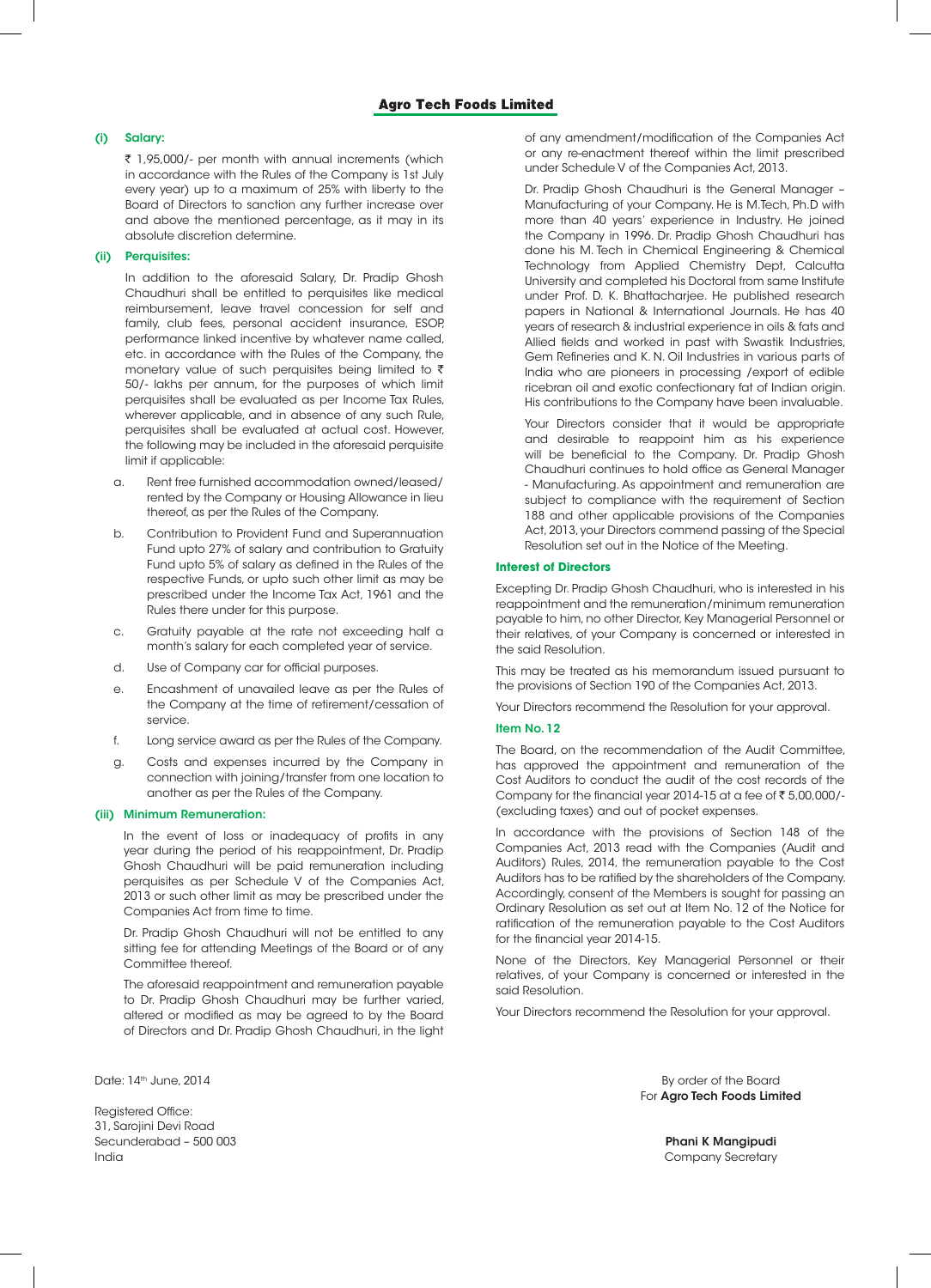## (i) Salary:

 $\bar{\tau}$  1,95,000/- per month with annual increments (which in accordance with the Rules of the Company is 1st July every year) up to a maximum of 25% with liberty to the Board of Directors to sanction any further increase over and above the mentioned percentage, as it may in its absolute discretion determine.

## (ii) Perquisites:

In addition to the aforesaid Salary, Dr. Pradip Ghosh Chaudhuri shall be entitled to perquisites like medical reimbursement, leave travel concession for self and family, club fees, personal accident insurance, ESOP, performance linked incentive by whatever name called, etc. in accordance with the Rules of the Company, the monetary value of such perquisites being limited to  $\bar{\tau}$ 50/- lakhs per annum, for the purposes of which limit perquisites shall be evaluated as per Income Tax Rules, wherever applicable, and in absence of any such Rule, perquisites shall be evaluated at actual cost. However, the following may be included in the aforesaid perquisite limit if applicable:

- a. Rent free furnished accommodation owned/leased/ rented by the Company or Housing Allowance in lieu thereof, as per the Rules of the Company.
- b. Contribution to Provident Fund and Superannuation Fund upto 27% of salary and contribution to Gratuity Fund upto 5% of salary as defined in the Rules of the respective Funds, or upto such other limit as may be prescribed under the Income Tax Act, 1961 and the Rules there under for this purpose.
- c. Gratuity payable at the rate not exceeding half a month's salary for each completed year of service.
- d. Use of Company car for official purposes.
- e. Encashment of unavailed leave as per the Rules of the Company at the time of retirement/cessation of service.
- f. Long service award as per the Rules of the Company.
- Costs and expenses incurred by the Company in connection with joining/transfer from one location to another as per the Rules of the Company.

#### (iii) Minimum Remuneration:

In the event of loss or inadequacy of profits in any year during the period of his reappointment, Dr. Pradip Ghosh Chaudhuri will be paid remuneration including perquisites as per Schedule V of the Companies Act, 2013 or such other limit as may be prescribed under the Companies Act from time to time.

Dr. Pradip Ghosh Chaudhuri will not be entitled to any sitting fee for attending Meetings of the Board or of any Committee thereof.

The aforesaid reappointment and remuneration payable to Dr. Pradip Ghosh Chaudhuri may be further varied, altered or modified as may be agreed to by the Board of Directors and Dr. Pradip Ghosh Chaudhuri, in the light

Registered Office: 31, Sarojini Devi Road Secunderabad – 500 003 Phani K Mangipudi India Company Secretary

of any amendment/modification of the Companies Act or any re-enactment thereof within the limit prescribed under Schedule V of the Companies Act, 2013.

Dr. Pradip Ghosh Chaudhuri is the General Manager – Manufacturing of your Company. He is M.Tech, Ph.D with more than 40 years' experience in Industry. He joined the Company in 1996. Dr. Pradip Ghosh Chaudhuri has done his M. Tech in Chemical Engineering & Chemical Technology from Applied Chemistry Dept, Calcutta University and completed his Doctoral from same Institute under Prof. D. K. Bhattacharjee. He published research papers in National & International Journals. He has 40 years of research & industrial experience in oils & fats and Allied fields and worked in past with Swastik Industries, Gem Refineries and K. N. Oil Industries in various parts of India who are pioneers in processing /export of edible ricebran oil and exotic confectionary fat of Indian origin. His contributions to the Company have been invaluable.

Your Directors consider that it would be appropriate and desirable to reappoint him as his experience will be beneficial to the Company. Dr. Pradip Ghosh Chaudhuri continues to hold office as General Manager - Manufacturing. As appointment and remuneration are subject to compliance with the requirement of Section 188 and other applicable provisions of the Companies Act, 2013, your Directors commend passing of the Special Resolution set out in the Notice of the Meeting.

#### **Interest of Directors**

Excepting Dr. Pradip Ghosh Chaudhuri, who is interested in his reappointment and the remuneration/minimum remuneration payable to him, no other Director, Key Managerial Personnel or their relatives, of your Company is concerned or interested in the said Resolution.

This may be treated as his memorandum issued pursuant to the provisions of Section 190 of the Companies Act, 2013.

Your Directors recommend the Resolution for your approval.

#### Item No. 12

The Board, on the recommendation of the Audit Committee, has approved the appointment and remuneration of the Cost Auditors to conduct the audit of the cost records of the Company for the financial year 2014-15 at a fee of  $\bar{\tau}$  5,00,000/-(excluding taxes) and out of pocket expenses.

In accordance with the provisions of Section 148 of the Companies Act, 2013 read with the Companies (Audit and Auditors) Rules, 2014, the remuneration payable to the Cost Auditors has to be ratified by the shareholders of the Company. Accordingly, consent of the Members is sought for passing an Ordinary Resolution as set out at Item No. 12 of the Notice for ratification of the remuneration payable to the Cost Auditors for the financial year 2014-15.

None of the Directors, Key Managerial Personnel or their relatives, of your Company is concerned or interested in the said Resolution.

Your Directors recommend the Resolution for your approval.

Date: 14th June, 2014 **By order of the Board** By order of the Board For Agro Tech Foods Limited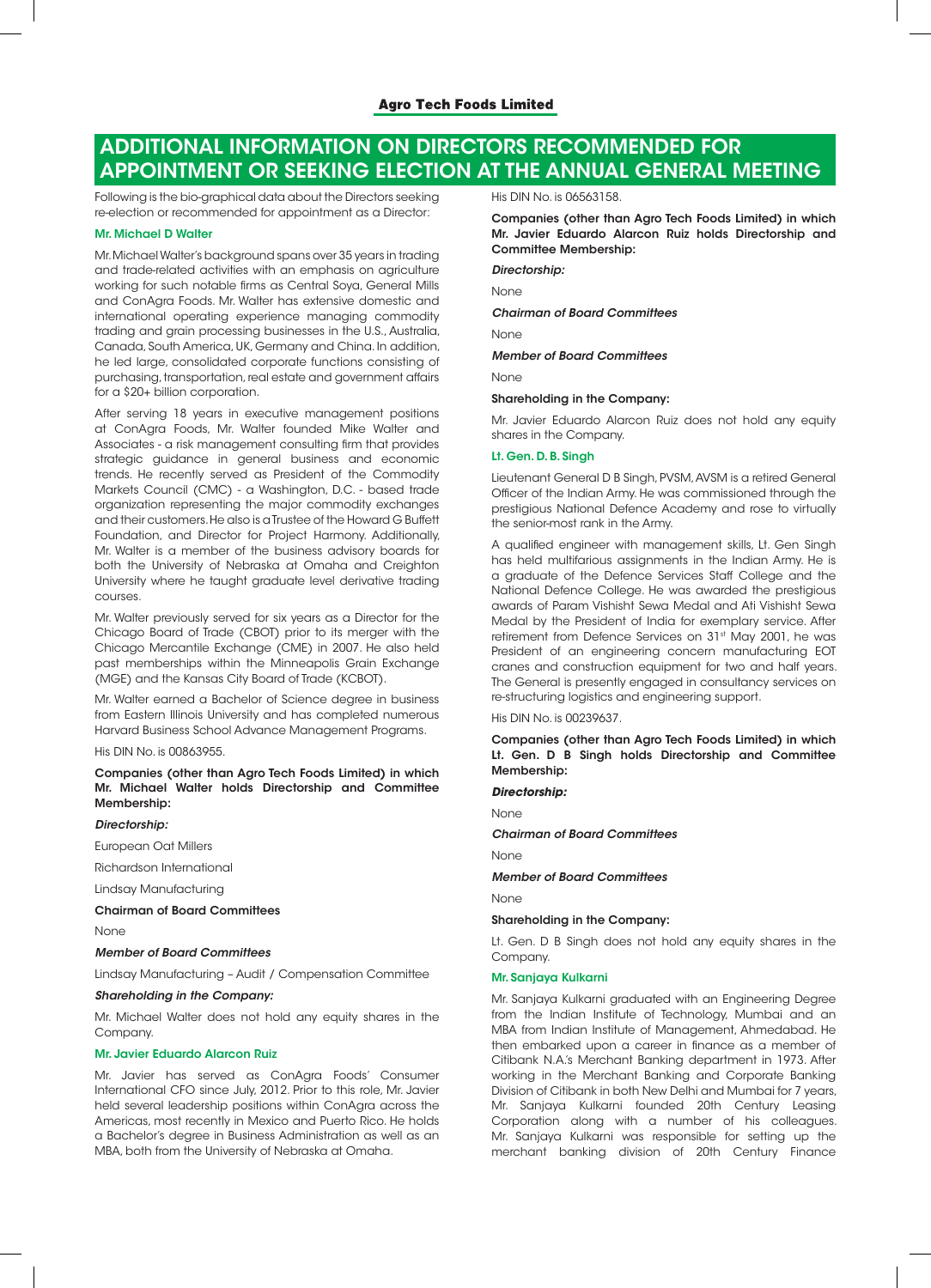# ADDITIONAL INFORMATION ON DIRECTORS RECOMMENDED FOR APPOINTMENT OR SEEKING ELECTION AT THE ANNUAL GENERAL MEETING

Following is the bio-graphical data about the Directors seeking re-election or recommended for appointment as a Director:

## Mr. Michael D Walter

Mr. Michael Walter's background spans over 35 years in trading and trade-related activities with an emphasis on agriculture working for such notable firms as Central Soya, General Mills and ConAgra Foods. Mr. Walter has extensive domestic and international operating experience managing commodity trading and grain processing businesses in the U.S., Australia, Canada, South America, UK, Germany and China. In addition, he led large, consolidated corporate functions consisting of purchasing, transportation, real estate and government affairs for a \$20+ billion corporation.

After serving 18 years in executive management positions at ConAgra Foods, Mr. Walter founded Mike Walter and Associates - a risk management consulting firm that provides strategic guidance in general business and economic trends. He recently served as President of the Commodity Markets Council (CMC) - a Washington, D.C. - based trade organization representing the major commodity exchanges and their customers. He also is a Trustee of the Howard G Buffett Foundation, and Director for Project Harmony. Additionally, Mr. Walter is a member of the business advisory boards for both the University of Nebraska at Omaha and Creighton University where he taught graduate level derivative trading courses.

Mr. Walter previously served for six years as a Director for the Chicago Board of Trade (CBOT) prior to its merger with the Chicago Mercantile Exchange (CME) in 2007. He also held past memberships within the Minneapolis Grain Exchange (MGE) and the Kansas City Board of Trade (KCBOT).

Mr. Walter earned a Bachelor of Science degree in business from Eastern Illinois University and has completed numerous Harvard Business School Advance Management Programs.

His DIN No. is 00863955.

Companies (other than Agro Tech Foods Limited) in which Mr. Michael Walter holds Directorship and Committee Membership:

#### *Directorship:*

European Oat Millers

Richardson International

Lindsay Manufacturing

#### Chairman of Board Committees

None

# *Member of Board Committees*

Lindsay Manufacturing – Audit / Compensation Committee

#### *Shareholding in the Company:*

Mr. Michael Walter does not hold any equity shares in the Company.

#### Mr. Javier Eduardo Alarcon Ruiz

Mr. Javier has served as ConAgra Foods' Consumer International CFO since July, 2012. Prior to this role, Mr. Javier held several leadership positions within ConAgra across the Americas, most recently in Mexico and Puerto Rico. He holds a Bachelor's degree in Business Administration as well as an MBA, both from the University of Nebraska at Omaha.

His DIN No. is 06563158.

Companies (other than Agro Tech Foods Limited) in which Mr. Javier Eduardo Alarcon Ruiz holds Directorship and Committee Membership:

*Directorship:*

None

*Chairman of Board Committees*

None

#### *Member of Board Committees*

None

## Shareholding in the Company:

Mr. Javier Eduardo Alarcon Ruiz does not hold any equity shares in the Company.

#### Lt. Gen. D. B. Singh

Lieutenant General D B Singh, PVSM, AVSM is a retired General Officer of the Indian Army. He was commissioned through the prestigious National Defence Academy and rose to virtually the senior-most rank in the Army.

A qualified engineer with management skills, Lt. Gen Singh has held multifarious assignments in the Indian Army. He is a graduate of the Defence Services Staff College and the National Defence College. He was awarded the prestigious awards of Param Vishisht Sewa Medal and Ati Vishisht Sewa Medal by the President of India for exemplary service. After retirement from Defence Services on 31<sup>st</sup> May 2001, he was President of an engineering concern manufacturing EOT cranes and construction equipment for two and half years. The General is presently engaged in consultancy services on re-structuring logistics and engineering support.

## His DIN No. is 00239637.

Companies (other than Agro Tech Foods Limited) in which Lt. Gen. D B Singh holds Directorship and Committee Membership:

#### *Directorship:*

None

*Chairman of Board Committees*

## None

*Member of Board Committees*

None

#### Shareholding in the Company:

Lt. Gen. D B Singh does not hold any equity shares in the Company.

#### Mr. Sanjaya Kulkarni

Mr. Sanjaya Kulkarni graduated with an Engineering Degree from the Indian Institute of Technology, Mumbai and an MBA from Indian Institute of Management, Ahmedabad. He then embarked upon a career in finance as a member of Citibank N.A.'s Merchant Banking department in 1973. After working in the Merchant Banking and Corporate Banking Division of Citibank in both New Delhi and Mumbai for 7 years, Mr. Sanjaya Kulkarni founded 20th Century Leasing Corporation along with a number of his colleagues. Mr. Sanjaya Kulkarni was responsible for setting up the merchant banking division of 20th Century Finance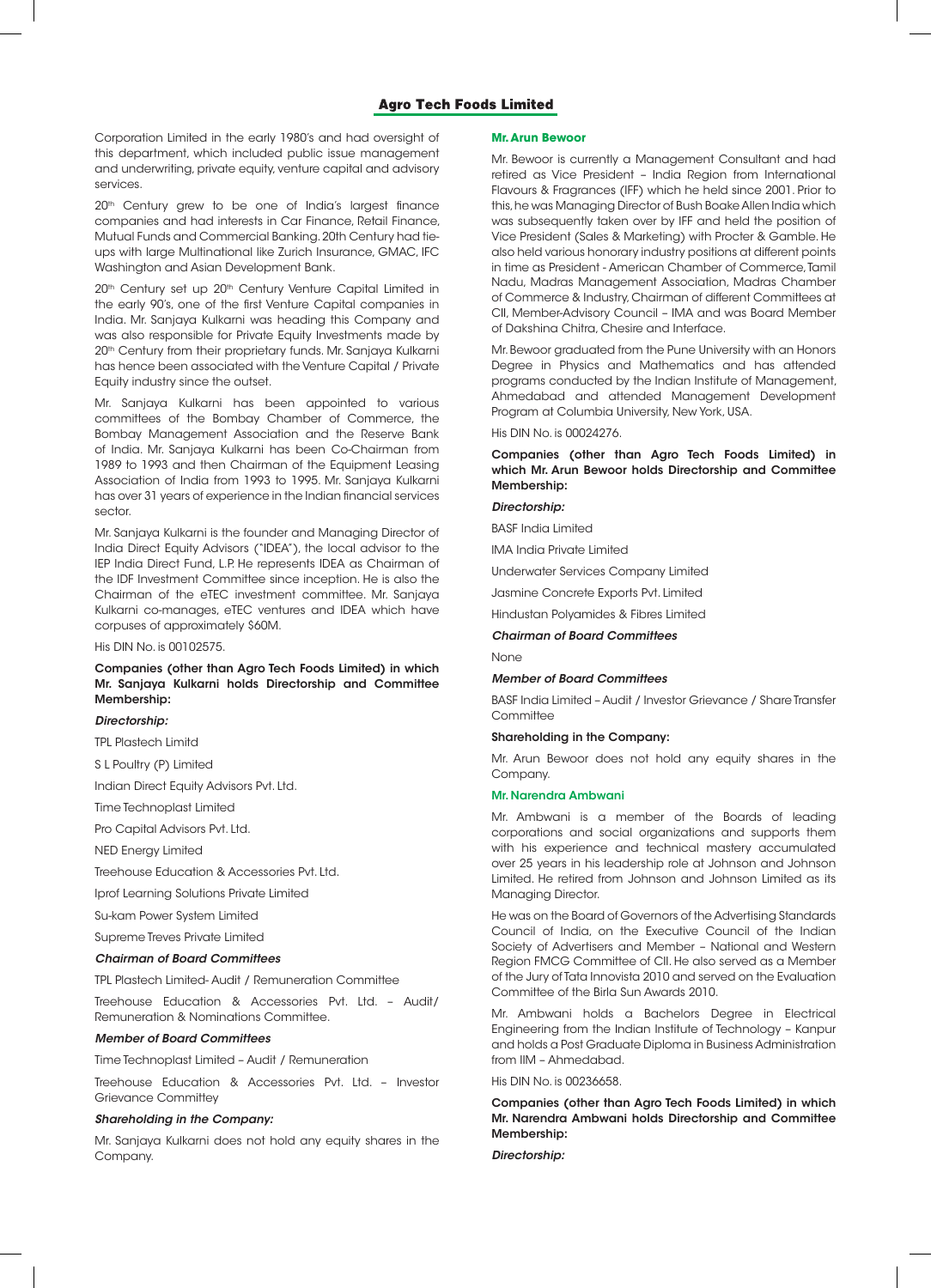Corporation Limited in the early 1980's and had oversight of this department, which included public issue management and underwriting, private equity, venture capital and advisory services.

20<sup>th</sup> Century grew to be one of India's largest finance companies and had interests in Car Finance, Retail Finance, Mutual Funds and Commercial Banking. 20th Century had tieups with large Multinational like Zurich Insurance, GMAC, IFC Washington and Asian Development Bank.

20<sup>th</sup> Century set up 20<sup>th</sup> Century Venture Capital Limited in the early 90's, one of the first Venture Capital companies in India. Mr. Sanjaya Kulkarni was heading this Company and was also responsible for Private Equity Investments made by 20<sup>th</sup> Century from their proprietary funds. Mr. Sanjaya Kulkarni has hence been associated with the Venture Capital / Private Equity industry since the outset.

Mr. Sanjaya Kulkarni has been appointed to various committees of the Bombay Chamber of Commerce, the Bombay Management Association and the Reserve Bank of India. Mr. Sanjaya Kulkarni has been Co-Chairman from 1989 to 1993 and then Chairman of the Equipment Leasing Association of India from 1993 to 1995. Mr. Sanjaya Kulkarni has over 31 years of experience in the Indian financial services sector.

Mr. Sanjaya Kulkarni is the founder and Managing Director of India Direct Equity Advisors ("IDEA"), the local advisor to the IEP India Direct Fund, L.P. He represents IDEA as Chairman of the IDF Investment Committee since inception. He is also the Chairman of the eTEC investment committee. Mr. Sanjaya Kulkarni co-manages, eTEC ventures and IDEA which have corpuses of approximately \$60M.

His DIN No. is 00102575.

## Companies (other than Agro Tech Foods Limited) in which Mr. Sanjaya Kulkarni holds Directorship and Committee Membership:

## *Directorship:*

TPL Plastech Limitd

S L Poultry (P) Limited

Indian Direct Equity Advisors Pvt. Ltd.

Time Technoplast Limited

Pro Capital Advisors Pvt. Ltd.

NED Energy Limited

Treehouse Education & Accessories Pvt. Ltd.

Iprof Learning Solutions Private Limited

Su-kam Power System Limited

Supreme Treves Private Limited

## *Chairman of Board Committees*

TPL Plastech Limited- Audit / Remuneration Committee

Treehouse Education & Accessories Pvt. Ltd. – Audit/ Remuneration & Nominations Committee.

*Member of Board Committees*

Time Technoplast Limited – Audit / Remuneration

Treehouse Education & Accessories Pvt. Ltd. – Investor Grievance Committey

## *Shareholding in the Company:*

Mr. Sanjaya Kulkarni does not hold any equity shares in the Company.

#### **Mr. Arun Bewoor**

Mr. Bewoor is currently a Management Consultant and had retired as Vice President – India Region from International Flavours & Fragrances (IFF) which he held since 2001. Prior to this, he was Managing Director of Bush Boake Allen India which was subsequently taken over by IFF and held the position of Vice President (Sales & Marketing) with Procter & Gamble. He also held various honorary industry positions at different points in time as President - American Chamber of Commerce, Tamil Nadu, Madras Management Association, Madras Chamber of Commerce & Industry, Chairman of different Committees at CII, Member-Advisory Council – IMA and was Board Member of Dakshina Chitra, Chesire and Interface.

Mr. Bewoor graduated from the Pune University with an Honors Degree in Physics and Mathematics and has attended programs conducted by the Indian Institute of Management, Ahmedabad and attended Management Development Program at Columbia University, New York, USA.

His DIN No. is 00024276.

Companies (other than Agro Tech Foods Limited) in which Mr. Arun Bewoor holds Directorship and Committee Membership:

### *Directorship:*

BASF India Limited

IMA India Private Limited

Underwater Services Company Limited

Jasmine Concrete Exports Pvt. Limited

Hindustan Polyamides & Fibres Limited

*Chairman of Board Committees*

None

#### *Member of Board Committees*

BASF India Limited – Audit / Investor Grievance / Share Transfer **Committee** 

#### Shareholding in the Company:

Mr. Arun Bewoor does not hold any equity shares in the Company.

#### Mr. Narendra Ambwani

Mr. Ambwani is a member of the Boards of leading corporations and social organizations and supports them with his experience and technical mastery accumulated over 25 years in his leadership role at Johnson and Johnson Limited. He retired from Johnson and Johnson Limited as its Managing Director.

He was on the Board of Governors of the Advertising Standards Council of India, on the Executive Council of the Indian Society of Advertisers and Member – National and Western Region FMCG Committee of CII. He also served as a Member of the Jury of Tata Innovista 2010 and served on the Evaluation Committee of the Birla Sun Awards 2010.

Mr. Ambwani holds a Bachelors Degree in Electrical Engineering from the Indian Institute of Technology – Kanpur and holds a Post Graduate Diploma in Business Administration from IIM – Ahmedabad.

His DIN No. is 00236658.

## Companies (other than Agro Tech Foods Limited) in which Mr. Narendra Ambwani holds Directorship and Committee Membership:

### *Directorship:*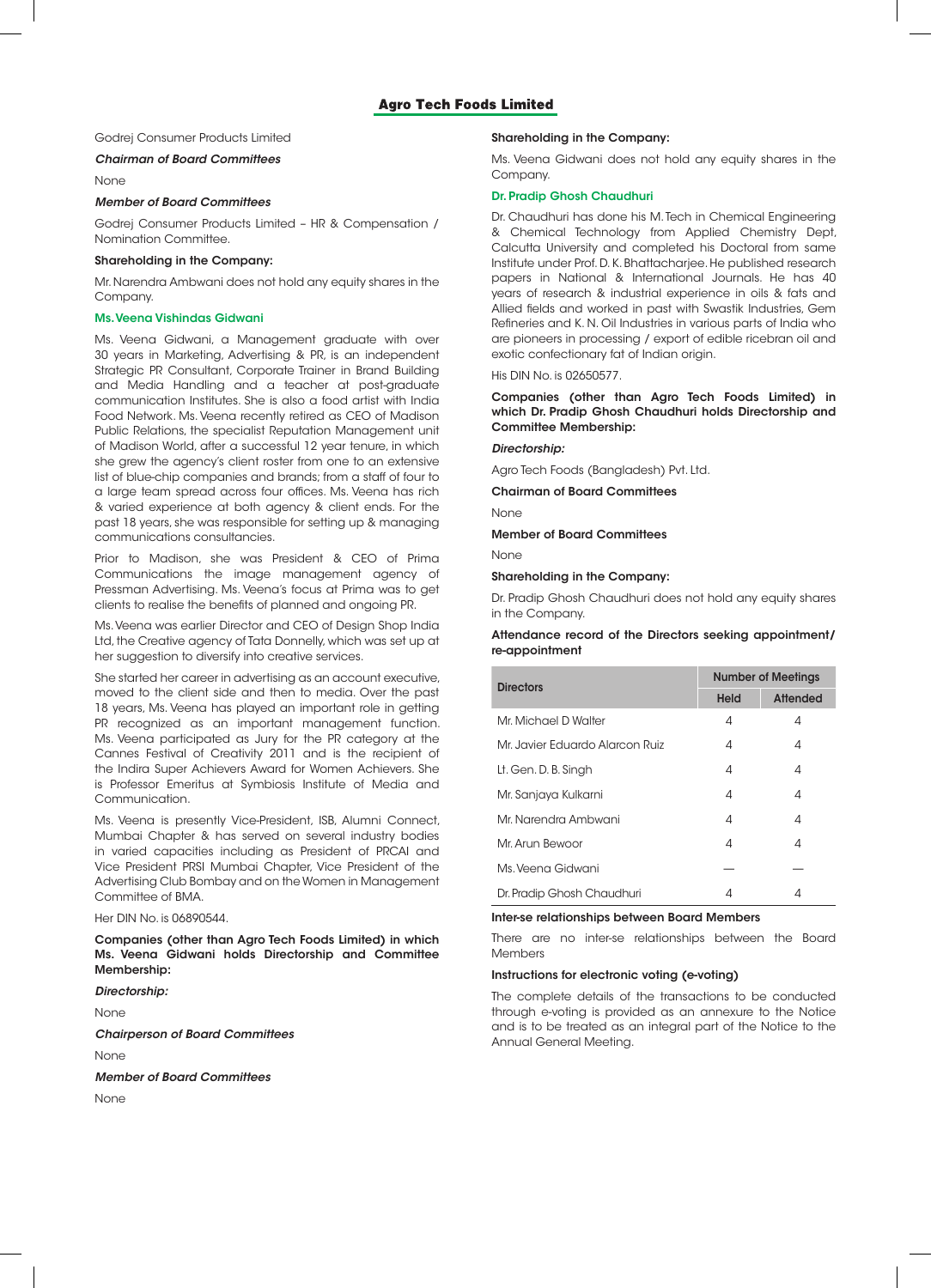## Godrej Consumer Products Limited

## *Chairman of Board Committees*

**None** 

### *Member of Board Committees*

Godrej Consumer Products Limited – HR & Compensation / Nomination Committee.

#### Shareholding in the Company:

Mr. Narendra Ambwani does not hold any equity shares in the Company.

#### Ms. Veena Vishindas Gidwani

Ms. Veena Gidwani, a Management graduate with over 30 years in Marketing, Advertising & PR, is an independent Strategic PR Consultant, Corporate Trainer in Brand Building and Media Handling and a teacher at post-graduate communication Institutes. She is also a food artist with India Food Network. Ms. Veena recently retired as CEO of Madison Public Relations, the specialist Reputation Management unit of Madison World, after a successful 12 year tenure, in which she grew the agency's client roster from one to an extensive list of blue-chip companies and brands; from a staff of four to a large team spread across four offices. Ms. Veena has rich & varied experience at both agency & client ends. For the past 18 years, she was responsible for setting up & managing communications consultancies.

Prior to Madison, she was President & CEO of Prima Communications the image management agency of Pressman Advertising. Ms. Veena's focus at Prima was to get clients to realise the benefits of planned and ongoing PR.

Ms. Veena was earlier Director and CEO of Design Shop India Ltd, the Creative agency of Tata Donnelly, which was set up at her suggestion to diversify into creative services.

She started her career in advertising as an account executive, moved to the client side and then to media. Over the past 18 years, Ms. Veena has played an important role in getting PR recognized as an important management function. Ms. Veena participated as Jury for the PR category at the Cannes Festival of Creativity 2011 and is the recipient of the Indira Super Achievers Award for Women Achievers. She is Professor Emeritus at Symbiosis Institute of Media and Communication.

Ms. Veena is presently Vice-President, ISB, Alumni Connect, Mumbai Chapter & has served on several industry bodies in varied capacities including as President of PRCAI and Vice President PRSI Mumbai Chapter, Vice President of the Advertising Club Bombay and on the Women in Management Committee of BMA.

Her DIN No. is 06890544.

Companies (other than Agro Tech Foods Limited) in which Ms. Veena Gidwani holds Directorship and Committee Membership:

## *Directorship:*

None

*Chairperson of Board Committees*

None

*Member of Board Committees*

None

## Shareholding in the Company:

Ms. Veena Gidwani does not hold any equity shares in the Company.

## Dr. Pradip Ghosh Chaudhuri

Dr. Chaudhuri has done his M. Tech in Chemical Engineering & Chemical Technology from Applied Chemistry Dept, Calcutta University and completed his Doctoral from same Institute under Prof. D. K. Bhattacharjee. He published research papers in National & International Journals. He has 40 years of research & industrial experience in oils & fats and Allied fields and worked in past with Swastik Industries, Gem Refineries and K. N. Oil Industries in various parts of India who are pioneers in processing / export of edible ricebran oil and exotic confectionary fat of Indian origin.

His DIN No. is 02650577.

Companies (other than Agro Tech Foods Limited) in which Dr. Pradip Ghosh Chaudhuri holds Directorship and Committee Membership:

#### *Directorship:*

Agro Tech Foods (Bangladesh) Pvt. Ltd.

Chairman of Board Committees

None

Member of Board Committees

None

Shareholding in the Company:

Dr. Pradip Ghosh Chaudhuri does not hold any equity shares in the Company.

## Attendance record of the Directors seeking appointment/ re-appointment

| <b>Directors</b>                | <b>Number of Meetings</b> |          |  |  |  |  |  |  |  |  |
|---------------------------------|---------------------------|----------|--|--|--|--|--|--|--|--|
|                                 | <b>Held</b>               | Attended |  |  |  |  |  |  |  |  |
| Mr. Michael D Walter            | 4                         | 4        |  |  |  |  |  |  |  |  |
| Mr. Javier Eduardo Alarcon Ruiz | 4                         | 4        |  |  |  |  |  |  |  |  |
| Lt. Gen. D. B. Singh            | 4                         | 4        |  |  |  |  |  |  |  |  |
| Mr. Sanjaya Kulkarni            | 4                         | 4        |  |  |  |  |  |  |  |  |
| Mr. Narendra Ambwani            | 4                         | 4        |  |  |  |  |  |  |  |  |
| Mr. Arun Bewoor                 | 4                         | 4        |  |  |  |  |  |  |  |  |
| Ms. Veena Gidwani               |                           |          |  |  |  |  |  |  |  |  |
| Dr. Pradip Ghosh Chaudhuri      | 4                         | 4        |  |  |  |  |  |  |  |  |

#### Inter-se relationships between Board Members

There are no inter-se relationships between the Board Members

#### Instructions for electronic voting (e-voting)

The complete details of the transactions to be conducted through e-voting is provided as an annexure to the Notice and is to be treated as an integral part of the Notice to the Annual General Meeting.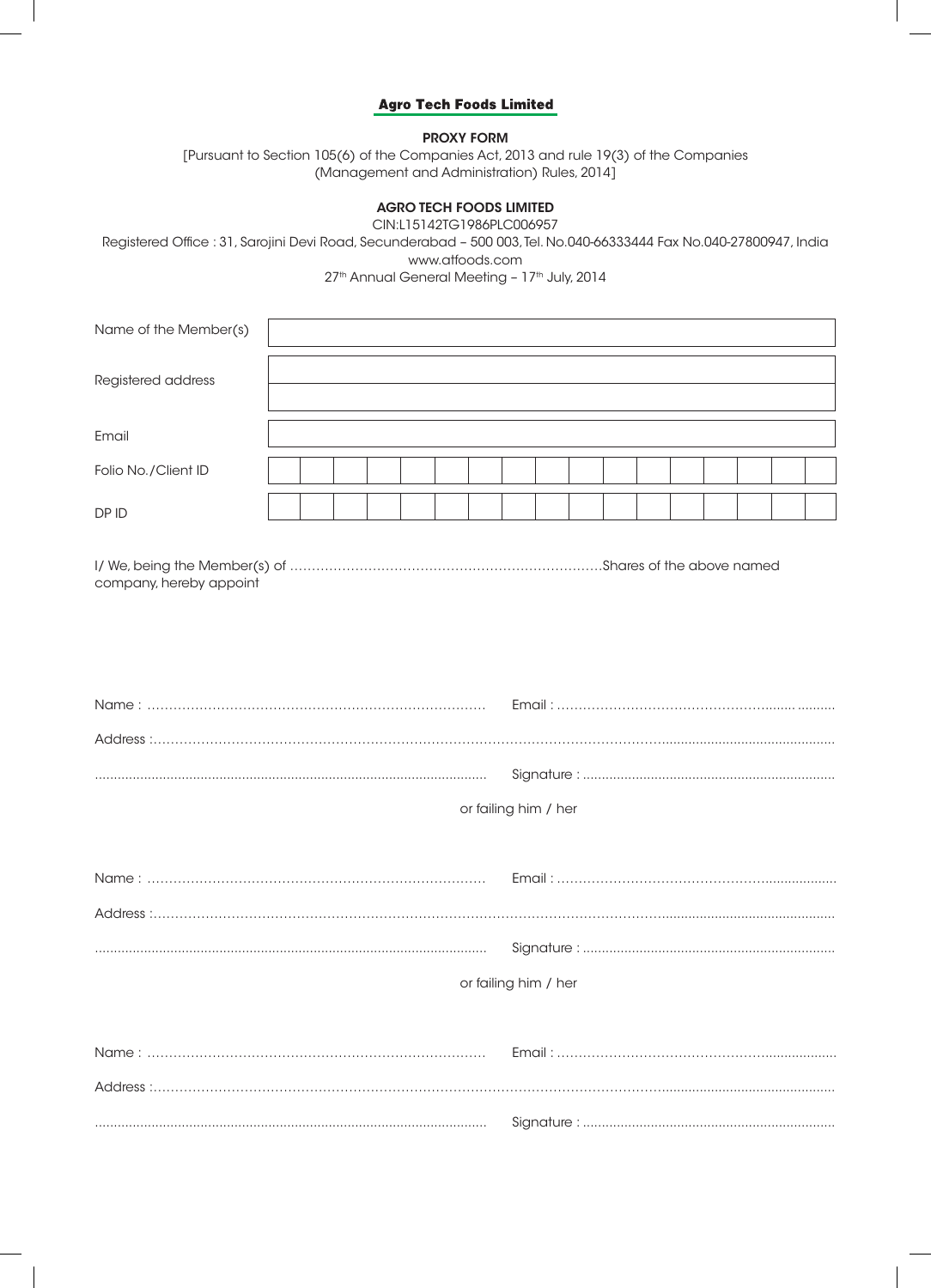## PROXY FORM

[Pursuant to Section 105(6) of the Companies Act, 2013 and rule 19(3) of the Companies (Management and Administration) Rules, 2014]

# AGRO TECH FOODS LIMITED

CIN:L15142TG1986PLC006957

Registered Office : 31, Sarojini Devi Road, Secunderabad – 500 003, Tel. No.040-66333444 Fax No.040-27800947, India www.atfoods.com

27<sup>th</sup> Annual General Meeting - 17<sup>th</sup> July, 2014

| Name of the Member(s) |  |  |  |  |  |  |  |  |  |
|-----------------------|--|--|--|--|--|--|--|--|--|
| Registered address    |  |  |  |  |  |  |  |  |  |
|                       |  |  |  |  |  |  |  |  |  |
| Email                 |  |  |  |  |  |  |  |  |  |
| Folio No./Client ID   |  |  |  |  |  |  |  |  |  |
| DP ID                 |  |  |  |  |  |  |  |  |  |

| company, hereby appoint |  |
|-------------------------|--|

| or failing him / her |
|----------------------|
|                      |
|                      |
|                      |
|                      |
| or failing him / her |
|                      |
|                      |
|                      |

........................................................................................................ Signature : ...................................................................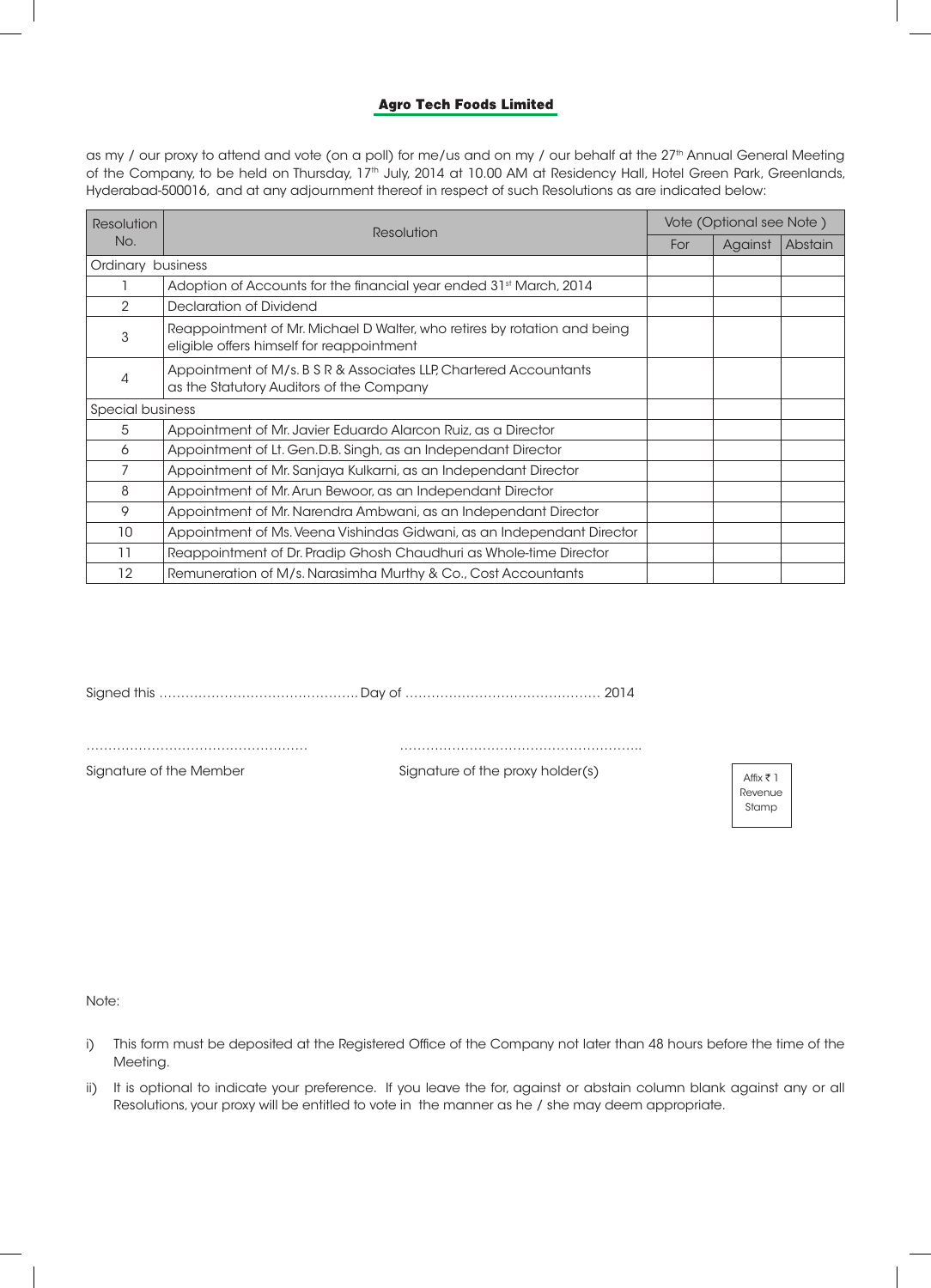as my / our proxy to attend and vote (on a poll) for me/us and on my / our behalf at the 27<sup>th</sup> Annual General Meeting of the Company, to be held on Thursday, 17<sup>th</sup> July, 2014 at 10.00 AM at Residency Hall, Hotel Green Park, Greenlands, Hyderabad-500016, and at any adjournment thereof in respect of such Resolutions as are indicated below:

| <b>Resolution</b> | Resolution                                                                                                            | Vote (Optional see Note) |         |         |  |  |  |  |  |  |  |  |
|-------------------|-----------------------------------------------------------------------------------------------------------------------|--------------------------|---------|---------|--|--|--|--|--|--|--|--|
| No.               |                                                                                                                       | For                      | Against | Abstain |  |  |  |  |  |  |  |  |
| Ordinary business |                                                                                                                       |                          |         |         |  |  |  |  |  |  |  |  |
|                   | Adoption of Accounts for the financial year ended 31 <sup>st</sup> March, 2014                                        |                          |         |         |  |  |  |  |  |  |  |  |
| 2                 | Declaration of Dividend                                                                                               |                          |         |         |  |  |  |  |  |  |  |  |
| 3                 | Reappointment of Mr. Michael D Walter, who retires by rotation and being<br>eligible offers himself for reappointment |                          |         |         |  |  |  |  |  |  |  |  |
| 4                 | Appointment of M/s. B S R & Associates LLP, Chartered Accountants<br>as the Statutory Auditors of the Company         |                          |         |         |  |  |  |  |  |  |  |  |
| Special business  |                                                                                                                       |                          |         |         |  |  |  |  |  |  |  |  |
| 5                 | Appointment of Mr. Javier Eduardo Alarcon Ruiz, as a Director                                                         |                          |         |         |  |  |  |  |  |  |  |  |
| 6                 | Appointment of Lt. Gen.D.B. Singh, as an Independant Director                                                         |                          |         |         |  |  |  |  |  |  |  |  |
|                   | Appointment of Mr. Sanjaya Kulkarni, as an Independant Director                                                       |                          |         |         |  |  |  |  |  |  |  |  |
| 8                 | Appointment of Mr. Arun Bewoor, as an Independant Director                                                            |                          |         |         |  |  |  |  |  |  |  |  |
| 9                 | Appointment of Mr. Narendra Ambwani, as an Independant Director                                                       |                          |         |         |  |  |  |  |  |  |  |  |
| 10                | Appointment of Ms. Veena Vishindas Gidwani, as an Independant Director                                                |                          |         |         |  |  |  |  |  |  |  |  |
| 11                | Reappointment of Dr. Pradip Ghosh Chaudhuri as Whole-time Director                                                    |                          |         |         |  |  |  |  |  |  |  |  |
| 12                | Remuneration of M/s. Narasimha Murthy & Co., Cost Accountants                                                         |                          |         |         |  |  |  |  |  |  |  |  |

Signature of the Member Signature of the proxy holder(s)

…………………………………………… ………………………………………………..

Affix  $\bar{z}$  1 Revenue Stamp

Note:

- i) This form must be deposited at the Registered Office of the Company not later than 48 hours before the time of the Meeting.
- ii) It is optional to indicate your preference. If you leave the for, against or abstain column blank against any or all Resolutions, your proxy will be entitled to vote in the manner as he / she may deem appropriate.